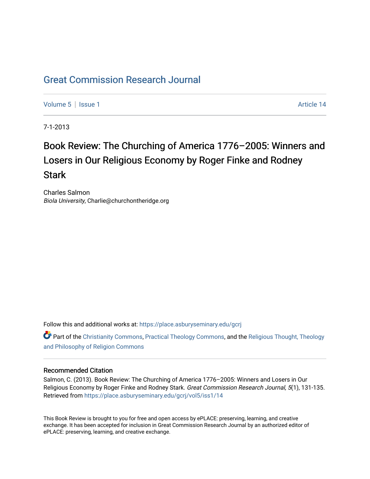## [Great Commission Research Journal](https://place.asburyseminary.edu/gcrj)

[Volume 5](https://place.asburyseminary.edu/gcrj/vol5) | [Issue 1](https://place.asburyseminary.edu/gcrj/vol5/iss1) Article 14

7-1-2013

# Book Review: The Churching of America 1776–2005: Winners and Losers in Our Religious Economy by Roger Finke and Rodney **Stark**

Charles Salmon Biola University, Charlie@churchontheridge.org

Follow this and additional works at: [https://place.asburyseminary.edu/gcrj](https://place.asburyseminary.edu/gcrj?utm_source=place.asburyseminary.edu%2Fgcrj%2Fvol5%2Fiss1%2F14&utm_medium=PDF&utm_campaign=PDFCoverPages) 

**C** Part of the [Christianity Commons,](http://network.bepress.com/hgg/discipline/1181?utm_source=place.asburyseminary.edu%2Fgcrj%2Fvol5%2Fiss1%2F14&utm_medium=PDF&utm_campaign=PDFCoverPages) [Practical Theology Commons](http://network.bepress.com/hgg/discipline/1186?utm_source=place.asburyseminary.edu%2Fgcrj%2Fvol5%2Fiss1%2F14&utm_medium=PDF&utm_campaign=PDFCoverPages), and the Religious Thought, Theology [and Philosophy of Religion Commons](http://network.bepress.com/hgg/discipline/544?utm_source=place.asburyseminary.edu%2Fgcrj%2Fvol5%2Fiss1%2F14&utm_medium=PDF&utm_campaign=PDFCoverPages)

### Recommended Citation

Salmon, C. (2013). Book Review: The Churching of America 1776–2005: Winners and Losers in Our Religious Economy by Roger Finke and Rodney Stark. Great Commission Research Journal, 5(1), 131-135. Retrieved from [https://place.asburyseminary.edu/gcrj/vol5/iss1/14](https://place.asburyseminary.edu/gcrj/vol5/iss1/14?utm_source=place.asburyseminary.edu%2Fgcrj%2Fvol5%2Fiss1%2F14&utm_medium=PDF&utm_campaign=PDFCoverPages)

This Book Review is brought to you for free and open access by ePLACE: preserving, learning, and creative exchange. It has been accepted for inclusion in Great Commission Research Journal by an authorized editor of ePLACE: preserving, learning, and creative exchange.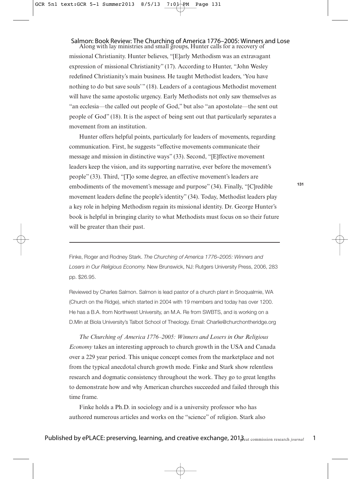#### Along with lay ministries and small groups, Hunter calls for a recovery of Salmon: Book Review: The Churching of America 1776–2005: Winners and Lose

missional Christianity. Hunter believes, "[E]arly Methodism was an extravagant expression of missional Christianity" (17). According to Hunter, "John Wesley redefined Christianity's main business. He taught Methodist leaders, 'You have nothing to do but save souls'" (18). Leaders of a contagious Methodist movement will have the same apostolic urgency. Early Methodists not only saw themselves as "an ecclesia—the called out people of God," but also "an apostolate—the sent out people of God" (18). It is the aspect of being sent out that particularly separates a movement from an institution.

Hunter offers helpful points, particularly for leaders of movements, regarding communication. First, he suggests "effective movements communicate their message and mission in distinctive ways" (33). Second, "[E]ffective movement leaders keep the vision, and its supporting narrative, ever before the movement's people" (33). Third, "[T]o some degree, an effective movement's leaders are embodiments of the movement's message and purpose" (34). Finally, "[C]redible movement leaders define the people's identity" (34). Today, Methodist leaders play a key role in helping Methodism regain its missional identity. Dr. George Hunter's book is helpful in bringing clarity to what Methodists must focus on so their future will be greater than their past.

Finke, Roger and Rodney Stark. The Churching of America 1776–2005: Winners and Losers in Our Religious Economy. New Brunswick, NJ: Rutgers University Press, 2006, 283 pp. \$26.95.

Reviewed by Charles Salmon. Salmon is lead pastor of a church plant in Snoqualmie, WA (Church on the Ridge), which started in 2004 with 19 members and today has over 1200. He has a B.A. from Northwest University, an M.A. Re from SWBTS, and is working on a D.Min at Biola University's Talbot School of Theology. Email: Charlie@churchontheridge.org

*The Churching of America 1776–2005: Winners and Losers in Our Religious Economy* takes an interesting approach to church growth in the USA and Canada over a 229 year period. This unique concept comes from the marketplace and not from the typical anecdotal church growth mode. Finke and Stark show relentless research and dogmatic consistency throughout the work. They go to great lengths to demonstrate how and why American churches succeeded and failed through this time frame.

Finke holds a Ph.D. in sociology and is a university professor who has authored numerous articles and works on the "science" of religion. Stark also **131**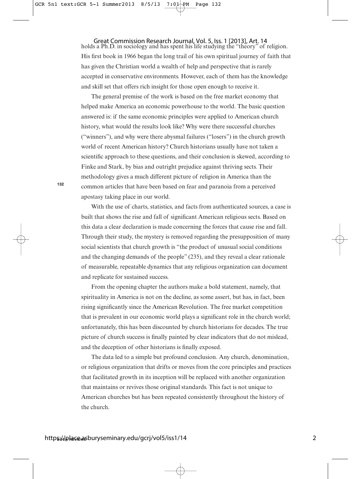holds a Ph.D. in sociology and has spent his life studying the "theory" of religion. His first book in 1966 began the long trail of his own spiritual journey of faith that has given the Christian world a wealth of help and perspective that is rarely accepted in conservative environments. However, each of them has the knowledge and skill set that offers rich insight for those open enough to receive it. Great Commission Research Journal, Vol. 5, Iss. 1 [2013], Art. 14

The general premise of the work is based on the free market economy that helped make America an economic powerhouse to the world. The basic question answered is: if the same economic principles were applied to American church history, what would the results look like? Why were there successful churches ("winners"), and why were there abysmal failures ("losers") in the church growth world of recent American history? Church historians usually have not taken a scientific approach to these questions, and their conclusion is skewed, according to Finke and Stark, by bias and outright prejudice against thriving sects. Their methodology gives a much different picture of religion in America than the common articles that have been based on fear and paranoia from a perceived apostasy taking place in our world.

With the use of charts, statistics, and facts from authenticated sources, a case is built that shows the rise and fall of significant American religious sects. Based on this data a clear declaration is made concerning the forces that cause rise and fall. Through their study, the mystery is removed regarding the presupposition of many social scientists that church growth is "the product of unusual social conditions and the changing demands of the people" (235), and they reveal a clear rationale of measurable, repeatable dynamics that any religious organization can document and replicate for sustained success.

From the opening chapter the authors make a bold statement, namely, that spirituality in America is not on the decline, as some assert, but has, in fact, been rising significantly since the American Revolution. The free market competition that is prevalent in our economic world plays a significant role in the church world; unfortunately, this has been discounted by church historians for decades. The true picture of church success is finally painted by clear indicators that do not mislead, and the deception of other historians is finally exposed.

The data led to a simple but profound conclusion. Any church, denomination, or religious organization that drifts or moves from the core principles and practices that facilitated growth in its inception will be replaced with another organization that maintains or revives those original standards. This fact is not unique to American churches but has been repeated consistently throughout the history of the church.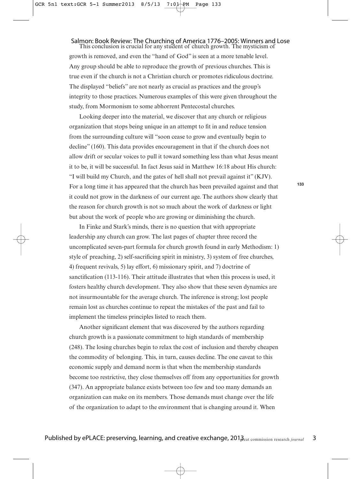## Salmon: Book Review: The Churching of America 1776–2005: Winners and Lose<br>This conclusion is crucial for any student of church growth. The mysticism of

growth is removed, and even the "hand of God" is seen at a more tenable level. Any group should be able to reproduce the growth of previous churches. This is true even if the church is not a Christian church or promotes ridiculous doctrine. The displayed "beliefs" are not nearly as crucial as practices and the group's integrity to those practices. Numerous examples of this were given throughout the study, from Mormonism to some abhorrent Pentecostal churches.

Looking deeper into the material, we discover that any church or religious organization that stops being unique in an attempt to fit in and reduce tension from the surrounding culture will "soon cease to grow and eventually begin to decline" (160). This data provides encouragement in that if the church does not allow drift or secular voices to pull it toward something less than what Jesus meant it to be, it will be successful. In fact Jesus said in Matthew 16:18 about His church: "I will build my Church, and the gates of hell shall not prevail against it" (KJV). For a long time it has appeared that the church has been prevailed against and that it could not grow in the darkness of our current age. The authors show clearly that the reason for church growth is not so much about the work of darkness or light but about the work of people who are growing or diminishing the church.

In Finke and Stark's minds, there is no question that with appropriate leadership any church can grow. The last pages of chapter three record the uncomplicated seven-part formula for church growth found in early Methodism: 1) style of preaching, 2) self-sacrificing spirit in ministry, 3) system of free churches, 4) frequent revivals, 5) lay effort, 6) missionary spirit, and 7) doctrine of sanctification (113-116). Their attitude illustrates that when this process is used, it fosters healthy church development. They also show that these seven dynamics are not insurmountable for the average church. The inference is strong; lost people remain lost as churches continue to repeat the mistakes of the past and fail to implement the timeless principles listed to reach them.

Another significant element that was discovered by the authors regarding church growth is a passionate commitment to high standards of membership (248). The losing churches begin to relax the cost of inclusion and thereby cheapen the commodity of belonging. This, in turn, causes decline. The one caveat to this economic supply and demand norm is that when the membership standards become too restrictive, they close themselves off from any opportunities for growth (347). An appropriate balance exists between too few and too many demands an organization can make on its members. Those demands must change over the life of the organization to adapt to the environment that is changing around it. When

**133**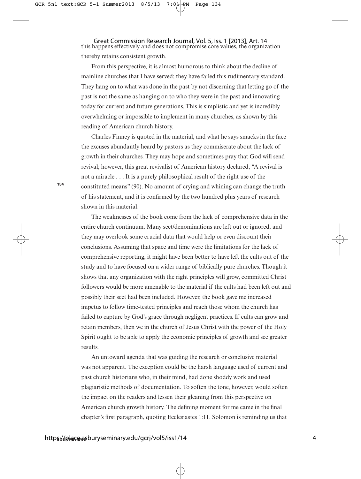this happens effectively and does not compromise core values, the organization thereby retains consistent growth. Great Commission Research Journal, Vol. 5, Iss. 1 [2013], Art. 14

From this perspective, it is almost humorous to think about the decline of mainline churches that I have served; they have failed this rudimentary standard. They hang on to what was done in the past by not discerning that letting go of the past is not the same as hanging on to who they were in the past and innovating today for current and future generations. This is simplistic and yet is incredibly overwhelming or impossible to implement in many churches, as shown by this reading of American church history.

Charles Finney is quoted in the material, and what he says smacks in the face the excuses abundantly heard by pastors as they commiserate about the lack of growth in their churches. They may hope and sometimes pray that God will send revival; however, this great revivalist of American history declared, "A revival is not a miracle . . . It is a purely philosophical result of the right use of the constituted means" (90). No amount of crying and whining can change the truth of his statement, and it is confirmed by the two hundred plus years of research shown in this material.

The weaknesses of the book come from the lack of comprehensive data in the entire church continuum. Many sect/denominations are left out or ignored, and they may overlook some crucial data that would help or even discount their conclusions. Assuming that space and time were the limitations for the lack of comprehensive reporting, it might have been better to have left the cults out of the study and to have focused on a wider range of biblically pure churches. Though it shows that any organization with the right principles will grow, committed Christ followers would be more amenable to the material if the cults had been left out and possibly their sect had been included. However, the book gave me increased impetus to follow time-tested principles and reach those whom the church has failed to capture by God's grace through negligent practices. If cults can grow and retain members, then we in the church of Jesus Christ with the power of the Holy Spirit ought to be able to apply the economic principles of growth and see greater results.

An untoward agenda that was guiding the research or conclusive material was not apparent. The exception could be the harsh language used of current and past church historians who, in their mind, had done shoddy work and used plagiaristic methods of documentation. To soften the tone, however, would soften the impact on the readers and lessen their gleaning from this perspective on American church growth history. The defining moment for me came in the final chapter's first paragraph, quoting Ecclesiastes 1:11. Solomon is reminding us that